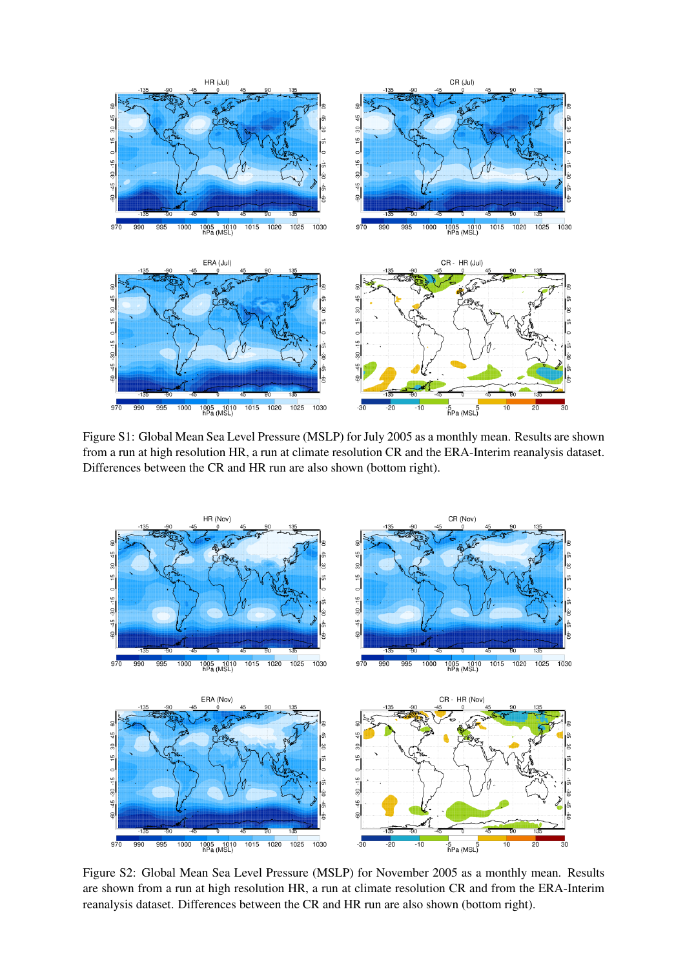

Figure S1: Global Mean Sea Level Pressure (MSLP) for July 2005 as a monthly mean. Results are shown from a run at high resolution HR, a run at climate resolution CR and the ERA-Interim reanalysis dataset. Differences between the CR and HR run are also shown (bottom right).



Figure S2: Global Mean Sea Level Pressure (MSLP) for November 2005 as a monthly mean. Results are shown from a run at high resolution HR, a run at climate resolution CR and from the ERA-Interim reanalysis dataset. Differences between the CR and HR run are also shown (bottom right).